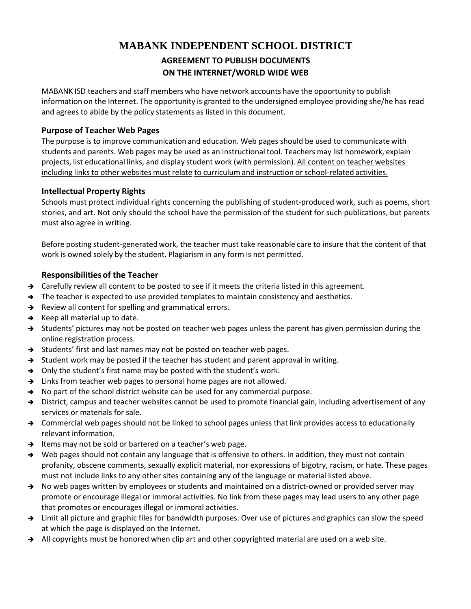# **MABANK INDEPENDENT SCHOOL DISTRICT AGREEMENT TO PUBLISH DOCUMENTS ON THE INTERNET/WORLD WIDE WEB**

MABANK ISD teachers and staff members who have network accounts have the opportunity to publish information on the Internet. The opportunity is granted to the undersigned employee providing she/he has read and agrees to abide by the policy statements as listed in this document.

## **Purpose of Teacher Web Pages**

The purpose is to improve communication and education. Web pages should be used to communicate with students and parents. Web pages may be used as an instructional tool. Teachers may list homework, explain projects, list educational links, and display student work (with permission). All content on teacher websites including links to other websites must relate to curriculum and instruction or school-related activities.

#### **Intellectual Property Rights**

Schools must protect individual rights concerning the publishing of student‐produced work, such as poems, short stories, and art. Not only should the school have the permission of the student for such publications, but parents must also agree in writing.

Before posting student‐generated work, the teacher must take reasonable care to insure that the content of that work is owned solely by the student. Plagiarism in any form is not permitted.

## **Responsibilities of the Teacher**

- $\rightarrow$  Carefully review all content to be posted to see if it meets the criteria listed in this agreement.
- $\rightarrow$  The teacher is expected to use provided templates to maintain consistency and aesthetics.
- $\rightarrow$  Review all content for spelling and grammatical errors.
- $\rightarrow$  Keep all material up to date.
- $\rightarrow$  Students' pictures may not be posted on teacher web pages unless the parent has given permission during the online registration process.
- Students' first and last names may not be posted on teacher web pages.
- $\rightarrow$  Student work may be posted if the teacher has student and parent approval in writing.
- $\rightarrow$  Only the student's first name may be posted with the student's work.
- $\rightarrow$  Links from teacher web pages to personal home pages are not allowed.
- $\rightarrow$  No part of the school district website can be used for any commercial purpose.
- → District, campus and teacher websites cannot be used to promote financial gain, including advertisement of any services or materials for sale.
- $\rightarrow$  Commercial web pages should not be linked to school pages unless that link provides access to educationally relevant information.
- $\rightarrow$  Items may not be sold or bartered on a teacher's web page.
- → Web pages should not contain any language that is offensive to others. In addition, they must not contain profanity, obscene comments, sexually explicit material, nor expressions of bigotry, racism, or hate. These pages must not include links to any other sites containing any of the language or material listed above.
- → No web pages written by employees or students and maintained on a district-owned or provided server may promote or encourage illegal or immoral activities. No link from these pages may lead users to any other page that promotes or encourages illegal or immoral activities.
- → Limit all picture and graphic files for bandwidth purposes. Over use of pictures and graphics can slow the speed at which the page is displayed on the Internet.
- $\rightarrow$  All copyrights must be honored when clip art and other copyrighted material are used on a web site.